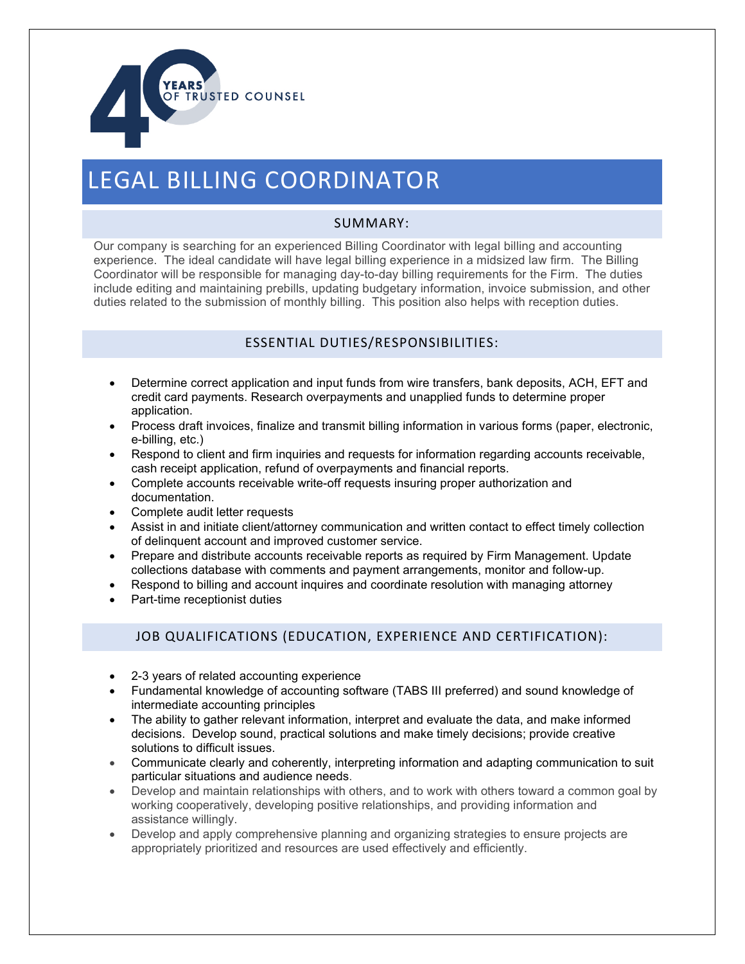

# LEGAL BILLING COORDINATOR

#### SUMMARY:

Our company is searching for an experienced Billing Coordinator with legal billing and accounting experience. The ideal candidate will have legal billing experience in a midsized law firm. The Billing Coordinator will be responsible for managing day-to-day billing requirements for the Firm. The duties include editing and maintaining prebills, updating budgetary information, invoice submission, and other duties related to the submission of monthly billing. This position also helps with reception duties.

### ESSENTIAL DUTIES/RESPONSIBILITIES:

- Determine correct application and input funds from wire transfers, bank deposits, ACH, EFT and credit card payments. Research overpayments and unapplied funds to determine proper application.
- Process draft invoices, finalize and transmit billing information in various forms (paper, electronic, e-billing, etc.)
- Respond to client and firm inquiries and requests for information regarding accounts receivable, cash receipt application, refund of overpayments and financial reports.
- Complete accounts receivable write-off requests insuring proper authorization and documentation.
- Complete audit letter requests
- Assist in and initiate client/attorney communication and written contact to effect timely collection of delinquent account and improved customer service.
- Prepare and distribute accounts receivable reports as required by Firm Management. Update collections database with comments and payment arrangements, monitor and follow-up.
- Respond to billing and account inquires and coordinate resolution with managing attorney
- Part-time receptionist duties

## JOB QUALIFICATIONS (EDUCATION, EXPERIENCE AND CERTIFICATION):

- 2-3 years of related accounting experience
- Fundamental knowledge of accounting software (TABS III preferred) and sound knowledge of intermediate accounting principles
- The ability to gather relevant information, interpret and evaluate the data, and make informed decisions. Develop sound, practical solutions and make timely decisions; provide creative solutions to difficult issues.
- Communicate clearly and coherently, interpreting information and adapting communication to suit particular situations and audience needs.
- Develop and maintain relationships with others, and to work with others toward a common goal by working cooperatively, developing positive relationships, and providing information and assistance willingly.
- Develop and apply comprehensive planning and organizing strategies to ensure projects are appropriately prioritized and resources are used effectively and efficiently.